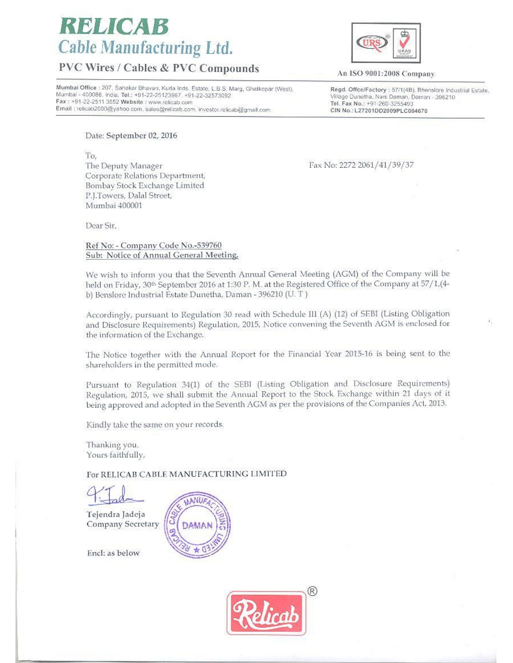# RELICA **Cable Manufacturing Ltd.**

## **PVC Wires / Cables & PVC Compounds**

Mumbai Office : 207, Sahakar Bhavan, Kurla Inds, Estate, L.B.S. Marg, Ghatkopar (West), Mumbai - 400086, India. Tel.: +91-22-25123967, +91-22-32573092 Fax: +91-22-2511 3552 Website: www.relicab.com Email ; relicab2000@yahoo.com, sales@relicab.com, investor.relicab@gmail.com

An ISO 9001:2008 Company

Regd. Offce/Factory: 57/1(4B). Bhenslore Industrial Estate, Village Dunetha, Nani Daman, Daman - 396210 Tel. Fax No.: +91-260-3255493 CIN No.: L27201DD2009PLC004670

Date: September 02, 2016

To, The Deputy Manager Corporate Relations Department, Bombay Stock Exchange Limited P.J.Towers, Dalal Street, Mumbai 400001

Fax No: 2272 2061/41/39/37

Dear Sir,

Ref No: - Company Code No.-539760 Sub: Notice of Annual General Meeting.

We wish to inform you that the Seventh Annual General Meeting (AGM) of the Company will be held on Friday, 30<sup>th</sup> September 2016 at 1:30 P. M. at the Registered Office of the Company at 57/1, (4b) Benslore Industrial Estate Dunetha, Daman - 396210 (U.T.)

Accordingly, pursuant to Regulation 30 read with Schedule III (A) (12) of SEBI (Listing Obligation and Disclosure Requirements) Regulation, 2015, Notice convening the Seventh AGM is enclosed for the information of the Exchange.

The Notice together with the Annual Report for the Financial Year 2015-16 is being sent to the shareholders in the permitted mode.

Pursuant to Regulation 34(1) of the SEBI (Listing Obligation and Disclosure Requirements) Regulation, 2015, we shall submit the Annual Report to the Stock Exchange within 21 days of it being approved and adopted in the Seventh AGM as per the provisions of the Companies Act, 2013.

Kindly take the same on your records.

Thanking you. Yours faithfully,

For RELICAB CABLE MANUFACTURING LIMITED

Tejendra Jadeja Company Secretary



Encl: as below

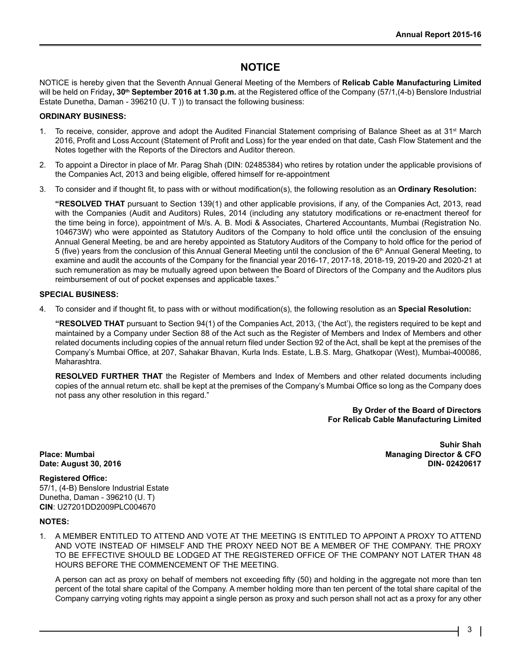### **NOTICE**

NOTICE is hereby given that the Seventh Annual General Meeting of the Members of **Relicab Cable Manufacturing Limited** will be held on Friday**, 30th September 2016 at 1.30 p.m.** at the Registered office of the Company (57/1,(4-b) Benslore Industrial Estate Dunetha, Daman - 396210 (U. T )) to transact the following business:

#### **ORDINARY BUSINESS:**

- 1. To receive, consider, approve and adopt the Audited Financial Statement comprising of Balance Sheet as at  $31<sup>st</sup>$  March 2016, Profit and Loss Account (Statement of Profit and Loss) for the year ended on that date, Cash Flow Statement and the Notes together with the Reports of the Directors and Auditor thereon.
- 2. To appoint a Director in place of Mr. Parag Shah (DIN: 02485384) who retires by rotation under the applicable provisions of the Companies Act, 2013 and being eligible, offered himself for re-appointment
- 3. To consider and if thought fit, to pass with or without modification(s), the following resolution as an **Ordinary Resolution:**

**"RESOLVED THAT** pursuant to Section 139(1) and other applicable provisions, if any, of the Companies Act, 2013, read with the Companies (Audit and Auditors) Rules, 2014 (including any statutory modifications or re-enactment thereof for the time being in force), appointment of M/s. A. B. Modi & Associates, Chartered Accountants, Mumbai (Registration No. 104673W) who were appointed as Statutory Auditors of the Company to hold office until the conclusion of the ensuing Annual General Meeting, be and are hereby appointed as Statutory Auditors of the Company to hold office for the period of 5 (five) years from the conclusion of this Annual General Meeting until the conclusion of the 6<sup>th</sup> Annual General Meeting, to examine and audit the accounts of the Company for the financial year 2016-17, 2017-18, 2018-19, 2019-20 and 2020-21 at such remuneration as may be mutually agreed upon between the Board of Directors of the Company and the Auditors plus reimbursement of out of pocket expenses and applicable taxes."

#### **SPECIAL BUSINESS:**

4. To consider and if thought fit, to pass with or without modification(s), the following resolution as an **Special Resolution:**

**"RESOLVED THAT** pursuant to Section 94(1) of the Companies Act, 2013, ('the Act'), the registers required to be kept and maintained by a Company under Section 88 of the Act such as the Register of Members and Index of Members and other related documents including copies of the annual return filed under Section 92 of the Act, shall be kept at the premises of the Company's Mumbai Office, at 207, Sahakar Bhavan, Kurla Inds. Estate, L.B.S. Marg, Ghatkopar (West), Mumbai-400086, Maharashtra.

**RESOLVED FURTHER THAT** the Register of Members and Index of Members and other related documents including copies of the annual return etc. shall be kept at the premises of the Company's Mumbai Office so long as the Company does not pass any other resolution in this regard."

> **By Order of the Board of Directors For Relicab Cable Manufacturing Limited**

**Date: August 30, 2016** 

 **Suhir Shah Place: Mumbai Managing Director & CFO**

#### **Registered Office:**

57/1, (4-B) Benslore Industrial Estate Dunetha, Daman - 396210 (U. T) **CIN**: U27201DD2009PLC004670

#### **NOTES:**

1. A MEMBER ENTITLED TO ATTEND AND VOTE AT THE MEETING IS ENTITLED TO APPOINT A PROXY TO ATTEND AND VOTE INSTEAD OF HIMSELF AND THE PROXY NEED NOT BE A MEMBER OF THE COMPANY. THE PROXY TO BE EFFECTIVE SHOULD BE LODGED AT THE REGISTERED OFFICE OF THE COMPANY NOT LATER THAN 48 HOURS BEFORE THE COMMENCEMENT OF THE MEETING.

A person can act as proxy on behalf of members not exceeding fifty (50) and holding in the aggregate not more than ten percent of the total share capital of the Company. A member holding more than ten percent of the total share capital of the Company carrying voting rights may appoint a single person as proxy and such person shall not act as a proxy for any other

3 |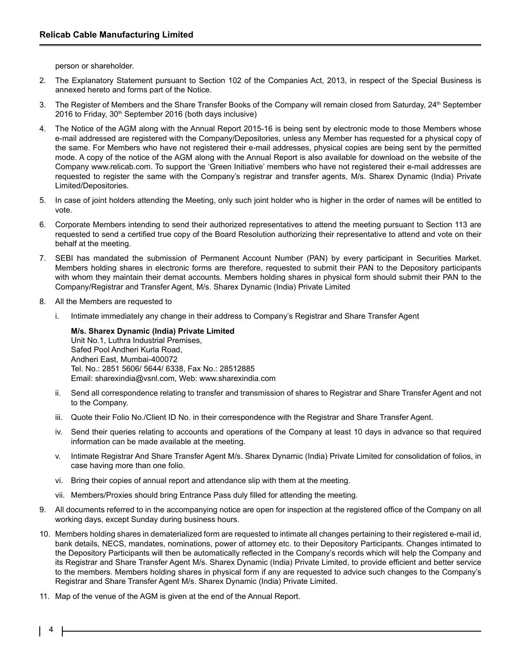person or shareholder.

- 2. The Explanatory Statement pursuant to Section 102 of the Companies Act, 2013, in respect of the Special Business is annexed hereto and forms part of the Notice.
- 3. The Register of Members and the Share Transfer Books of the Company will remain closed from Saturday, 24<sup>th</sup> September 2016 to Friday, 30<sup>th</sup> September 2016 (both days inclusive)
- 4. The Notice of the AGM along with the Annual Report 2015-16 is being sent by electronic mode to those Members whose e-mail addressed are registered with the Company/Depositories, unless any Member has requested for a physical copy of the same. For Members who have not registered their e-mail addresses, physical copies are being sent by the permitted mode. A copy of the notice of the AGM along with the Annual Report is also available for download on the website of the Company www.relicab.com. To support the 'Green Initiative' members who have not registered their e-mail addresses are requested to register the same with the Company's registrar and transfer agents, M/s. Sharex Dynamic (India) Private Limited/Depositories.
- 5. In case of joint holders attending the Meeting, only such joint holder who is higher in the order of names will be entitled to vote.
- 6. Corporate Members intending to send their authorized representatives to attend the meeting pursuant to Section 113 are requested to send a certified true copy of the Board Resolution authorizing their representative to attend and vote on their behalf at the meeting.
- 7. SEBI has mandated the submission of Permanent Account Number (PAN) by every participant in Securities Market. Members holding shares in electronic forms are therefore, requested to submit their PAN to the Depository participants with whom they maintain their demat accounts. Members holding shares in physical form should submit their PAN to the Company/Registrar and Transfer Agent, M/s. Sharex Dynamic (India) Private Limited
- 8. All the Members are requested to
	- i. Intimate immediately any change in their address to Company's Registrar and Share Transfer Agent

**M/s. Sharex Dynamic (India) Private Limited** Unit No.1, Luthra Industrial Premises, Safed Pool Andheri Kurla Road, Andheri East, Mumbai-400072 Tel. No.: 2851 5606/ 5644/ 6338, Fax No.: 28512885 Email: sharexindia@vsnl.com, Web: www.sharexindia.com

- ii. Send all correspondence relating to transfer and transmission of shares to Registrar and Share Transfer Agent and not to the Company.
- iii. Quote their Folio No./Client ID No. in their correspondence with the Registrar and Share Transfer Agent.
- iv. Send their queries relating to accounts and operations of the Company at least 10 days in advance so that required information can be made available at the meeting.
- v. Intimate Registrar And Share Transfer Agent M/s. Sharex Dynamic (India) Private Limited for consolidation of folios, in case having more than one folio.
- vi. Bring their copies of annual report and attendance slip with them at the meeting.
- vii. Members/Proxies should bring Entrance Pass duly filled for attending the meeting.
- 9. All documents referred to in the accompanying notice are open for inspection at the registered office of the Company on all working days, except Sunday during business hours.
- 10. Members holding shares in dematerialized form are requested to intimate all changes pertaining to their registered e-mail id, bank details, NECS, mandates, nominations, power of attorney etc. to their Depository Participants. Changes intimated to the Depository Participants will then be automatically reflected in the Company's records which will help the Company and its Registrar and Share Transfer Agent M/s. Sharex Dynamic (India) Private Limited, to provide efficient and better service to the members. Members holding shares in physical form if any are requested to advice such changes to the Company's Registrar and Share Transfer Agent M/s. Sharex Dynamic (India) Private Limited.
- 11. Map of the venue of the AGM is given at the end of the Annual Report.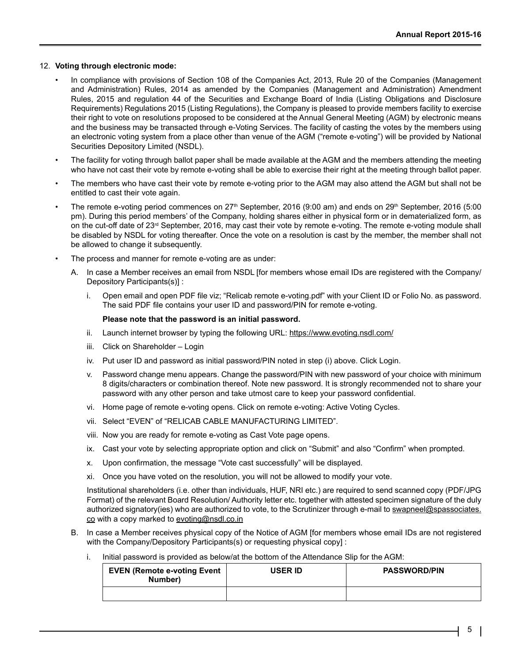#### 12. **Voting through electronic mode:**

- In compliance with provisions of Section 108 of the Companies Act, 2013, Rule 20 of the Companies (Management and Administration) Rules, 2014 as amended by the Companies (Management and Administration) Amendment Rules, 2015 and regulation 44 of the Securities and Exchange Board of India (Listing Obligations and Disclosure Requirements) Regulations 2015 (Listing Regulations), the Company is pleased to provide members facility to exercise their right to vote on resolutions proposed to be considered at the Annual General Meeting (AGM) by electronic means and the business may be transacted through e-Voting Services. The facility of casting the votes by the members using an electronic voting system from a place other than venue of the AGM ("remote e-voting") will be provided by National Securities Depository Limited (NSDL).
- The facility for voting through ballot paper shall be made available at the AGM and the members attending the meeting who have not cast their vote by remote e-voting shall be able to exercise their right at the meeting through ballot paper.
- The members who have cast their vote by remote e-voting prior to the AGM may also attend the AGM but shall not be entitled to cast their vote again.
- The remote e-voting period commences on 27<sup>th</sup> September, 2016 (9:00 am) and ends on 29<sup>th</sup> September, 2016 (5:00 pm). During this period members' of the Company, holding shares either in physical form or in dematerialized form, as on the cut-off date of 23<sup>rd</sup> September, 2016, may cast their vote by remote e-voting. The remote e-voting module shall be disabled by NSDL for voting thereafter. Once the vote on a resolution is cast by the member, the member shall not be allowed to change it subsequently.
- The process and manner for remote e-voting are as under:
	- A. In case a Member receives an email from NSDL [for members whose email IDs are registered with the Company/ Depository Participants(s)] :
		- i. Open email and open PDF file viz; "Relicab remote e-voting.pdf" with your Client ID or Folio No. as password. The said PDF file contains your user ID and password/PIN for remote e-voting.

#### **Please note that the password is an initial password.**

- ii. Launch internet browser by typing the following URL: https://www.evoting.nsdl.com/
- iii. Click on Shareholder Login
- iv. Put user ID and password as initial password/PIN noted in step (i) above. Click Login.
- v. Password change menu appears. Change the password/PIN with new password of your choice with minimum 8 digits/characters or combination thereof. Note new password. It is strongly recommended not to share your password with any other person and take utmost care to keep your password confidential.
- vi. Home page of remote e-voting opens. Click on remote e-voting: Active Voting Cycles.
- vii. Select "EVEN" of "RELICAB CABLE MANUFACTURING LIMITED".
- viii. Now you are ready for remote e-voting as Cast Vote page opens.
- ix. Cast your vote by selecting appropriate option and click on "Submit" and also "Confirm" when prompted.
- x. Upon confirmation, the message "Vote cast successfully" will be displayed.
- xi. Once you have voted on the resolution, you will not be allowed to modify your vote.

Institutional shareholders (i.e. other than individuals, HUF, NRI etc.) are required to send scanned copy (PDF/JPG Format) of the relevant Board Resolution/ Authority letter etc. together with attested specimen signature of the duly authorized signatory(ies) who are authorized to vote, to the Scrutinizer through e-mail to swapneel@spassociates. co with a copy marked to evoting@nsdl.co.in

- B. In case a Member receives physical copy of the Notice of AGM [for members whose email IDs are not registered with the Company/Depository Participants(s) or requesting physical copy] :
	- i. Initial password is provided as below/at the bottom of the Attendance Slip for the AGM:

| <b>EVEN (Remote e-voting Event</b><br>Number) | <b>USER ID</b> | <b>PASSWORD/PIN</b> |
|-----------------------------------------------|----------------|---------------------|
|                                               |                |                     |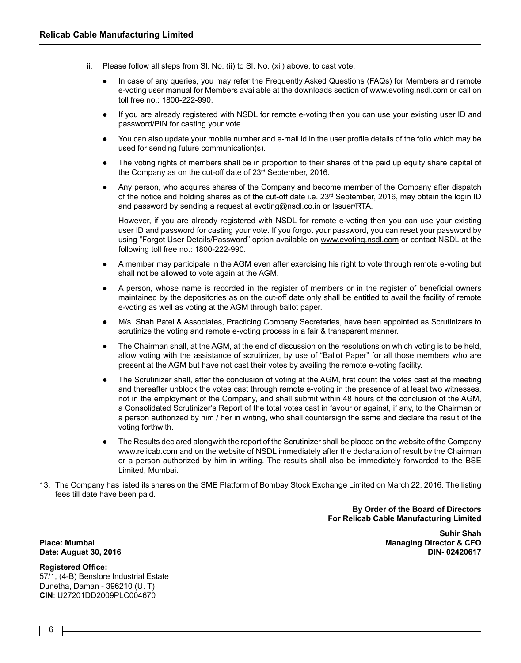- ii. Please follow all steps from Sl. No. (ii) to Sl. No. (xii) above, to cast vote.
	- In case of any queries, you may refer the Frequently Asked Questions (FAQs) for Members and remote e-voting user manual for Members available at the downloads section of www.evoting.nsdl.com or call on toll free no.: 1800-222-990.
	- If you are already registered with NSDL for remote e-voting then you can use your existing user ID and password/PIN for casting your vote.
	- l You can also update your mobile number and e-mail id in the user profile details of the folio which may be used for sending future communication(s).
	- The voting rights of members shall be in proportion to their shares of the paid up equity share capital of the Company as on the cut-off date of 23<sup>rd</sup> September, 2016.
	- Any person, who acquires shares of the Company and become member of the Company after dispatch of the notice and holding shares as of the cut-off date i.e.  $23<sup>rd</sup>$  September, 2016, may obtain the login ID and password by sending a request at evoting@nsdl.co.in or Issuer/RTA.

However, if you are already registered with NSDL for remote e-voting then you can use your existing user ID and password for casting your vote. If you forgot your password, you can reset your password by using "Forgot User Details/Password" option available on www.evoting.nsdl.com or contact NSDL at the following toll free no.: 1800-222-990.

- l A member may participate in the AGM even after exercising his right to vote through remote e-voting but shall not be allowed to vote again at the AGM.
- A person, whose name is recorded in the register of members or in the register of beneficial owners maintained by the depositories as on the cut-off date only shall be entitled to avail the facility of remote e-voting as well as voting at the AGM through ballot paper.
- l M/s. Shah Patel & Associates, Practicing Company Secretaries, have been appointed as Scrutinizers to scrutinize the voting and remote e-voting process in a fair & transparent manner.
- l The Chairman shall, at the AGM, at the end of discussion on the resolutions on which voting is to be held, allow voting with the assistance of scrutinizer, by use of "Ballot Paper" for all those members who are present at the AGM but have not cast their votes by availing the remote e-voting facility.
- l The Scrutinizer shall, after the conclusion of voting at the AGM, first count the votes cast at the meeting and thereafter unblock the votes cast through remote e-voting in the presence of at least two witnesses, not in the employment of the Company, and shall submit within 48 hours of the conclusion of the AGM, a Consolidated Scrutinizer's Report of the total votes cast in favour or against, if any, to the Chairman or a person authorized by him / her in writing, who shall countersign the same and declare the result of the voting forthwith.
- l The Results declared alongwith the report of the Scrutinizer shall be placed on the website of the Company www.relicab.com and on the website of NSDL immediately after the declaration of result by the Chairman or a person authorized by him in writing. The results shall also be immediately forwarded to the BSE Limited, Mumbai.
- 13. The Company has listed its shares on the SME Platform of Bombay Stock Exchange Limited on March 22, 2016. The listing fees till date have been paid.

**By Order of the Board of Directors For Relicab Cable Manufacturing Limited**

#### **Registered Office:**

57/1, (4-B) Benslore Industrial Estate Dunetha, Daman - 396210 (U. T) **CIN**: U27201DD2009PLC004670

 **Suhir Shah Place: Mumbai Managing Director & CFO Date: August 30, 2016 DIN-02420617 DIN-02420617** 

6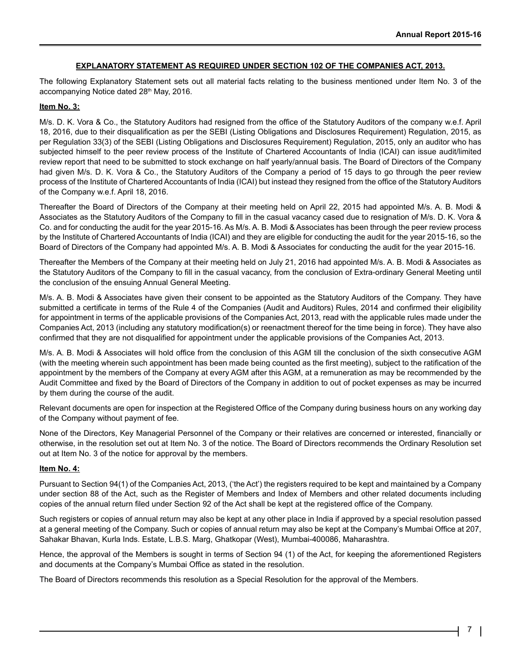#### **EXPLANATORY STATEMENT AS REQUIRED UNDER SECTION 102 OF THE COMPANIES ACT, 2013.**

The following Explanatory Statement sets out all material facts relating to the business mentioned under Item No. 3 of the accompanying Notice dated 28th May, 2016.

#### **Item No. 3:**

M/s. D. K. Vora & Co., the Statutory Auditors had resigned from the office of the Statutory Auditors of the company w.e.f. April 18, 2016, due to their disqualification as per the SEBI (Listing Obligations and Disclosures Requirement) Regulation, 2015, as per Regulation 33(3) of the SEBI (Listing Obligations and Disclosures Requirement) Regulation, 2015, only an auditor who has subjected himself to the peer review process of the Institute of Chartered Accountants of India (ICAI) can issue audit/limited review report that need to be submitted to stock exchange on half yearly/annual basis. The Board of Directors of the Company had given M/s. D. K. Vora & Co., the Statutory Auditors of the Company a period of 15 days to go through the peer review process of the Institute of Chartered Accountants of India (ICAI) but instead they resigned from the office of the Statutory Auditors of the Company w.e.f. April 18, 2016.

Thereafter the Board of Directors of the Company at their meeting held on April 22, 2015 had appointed M/s. A. B. Modi & Associates as the Statutory Auditors of the Company to fill in the casual vacancy cased due to resignation of M/s. D. K. Vora & Co. and for conducting the audit for the year 2015-16. As M/s. A. B. Modi & Associates has been through the peer review process by the Institute of Chartered Accountants of India (ICAI) and they are eligible for conducting the audit for the year 2015-16, so the Board of Directors of the Company had appointed M/s. A. B. Modi & Associates for conducting the audit for the year 2015-16.

Thereafter the Members of the Company at their meeting held on July 21, 2016 had appointed M/s. A. B. Modi & Associates as the Statutory Auditors of the Company to fill in the casual vacancy, from the conclusion of Extra-ordinary General Meeting until the conclusion of the ensuing Annual General Meeting.

M/s. A. B. Modi & Associates have given their consent to be appointed as the Statutory Auditors of the Company. They have submitted a certificate in terms of the Rule 4 of the Companies (Audit and Auditors) Rules, 2014 and confirmed their eligibility for appointment in terms of the applicable provisions of the Companies Act, 2013, read with the applicable rules made under the Companies Act, 2013 (including any statutory modification(s) or reenactment thereof for the time being in force). They have also confirmed that they are not disqualified for appointment under the applicable provisions of the Companies Act, 2013.

M/s. A. B. Modi & Associates will hold office from the conclusion of this AGM till the conclusion of the sixth consecutive AGM (with the meeting wherein such appointment has been made being counted as the first meeting), subject to the ratification of the appointment by the members of the Company at every AGM after this AGM, at a remuneration as may be recommended by the Audit Committee and fixed by the Board of Directors of the Company in addition to out of pocket expenses as may be incurred by them during the course of the audit.

Relevant documents are open for inspection at the Registered Office of the Company during business hours on any working day of the Company without payment of fee.

None of the Directors, Key Managerial Personnel of the Company or their relatives are concerned or interested, financially or otherwise, in the resolution set out at Item No. 3 of the notice. The Board of Directors recommends the Ordinary Resolution set out at Item No. 3 of the notice for approval by the members.

#### **Item No. 4:**

Pursuant to Section 94(1) of the Companies Act, 2013, ('the Act') the registers required to be kept and maintained by a Company under section 88 of the Act, such as the Register of Members and Index of Members and other related documents including copies of the annual return filed under Section 92 of the Act shall be kept at the registered office of the Company.

Such registers or copies of annual return may also be kept at any other place in India if approved by a special resolution passed at a general meeting of the Company. Such or copies of annual return may also be kept at the Company's Mumbai Office at 207, Sahakar Bhavan, Kurla Inds. Estate, L.B.S. Marg, Ghatkopar (West), Mumbai-400086, Maharashtra.

Hence, the approval of the Members is sought in terms of Section 94 (1) of the Act, for keeping the aforementioned Registers and documents at the Company's Mumbai Office as stated in the resolution.

The Board of Directors recommends this resolution as a Special Resolution for the approval of the Members.